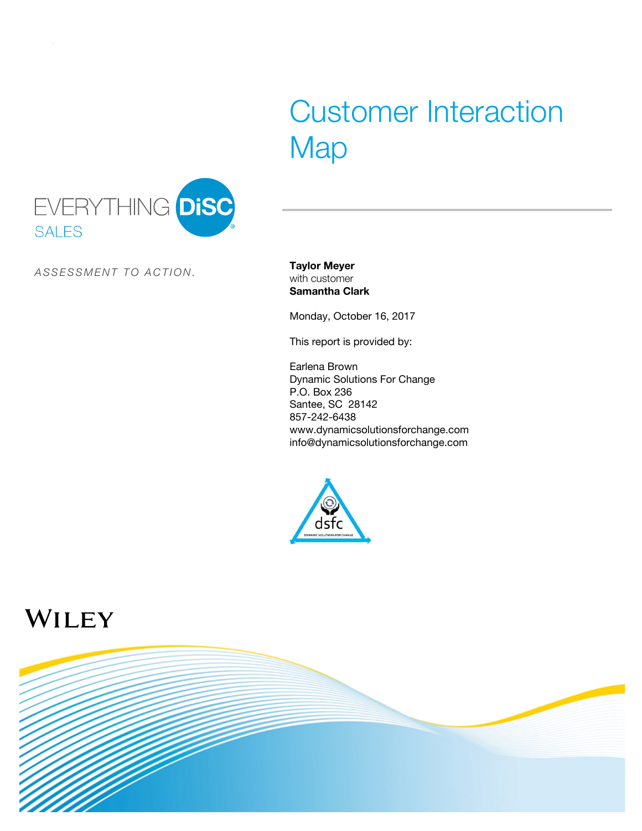# Customer Interaction **Map**



*A S S E S S M E N T T O A C TI O N .*

**Taylor Meyer** with customer **Samantha Clark**

Monday, October 16, 2017

This report is provided by:

Earlena Brown Dynamic Solutions For Change P.O. Box 236 Santee, SC 28142 857-242-6438 www.dynamicsolutionsforchange.com info@dynamicsolutionsforchange.com



## WILEY